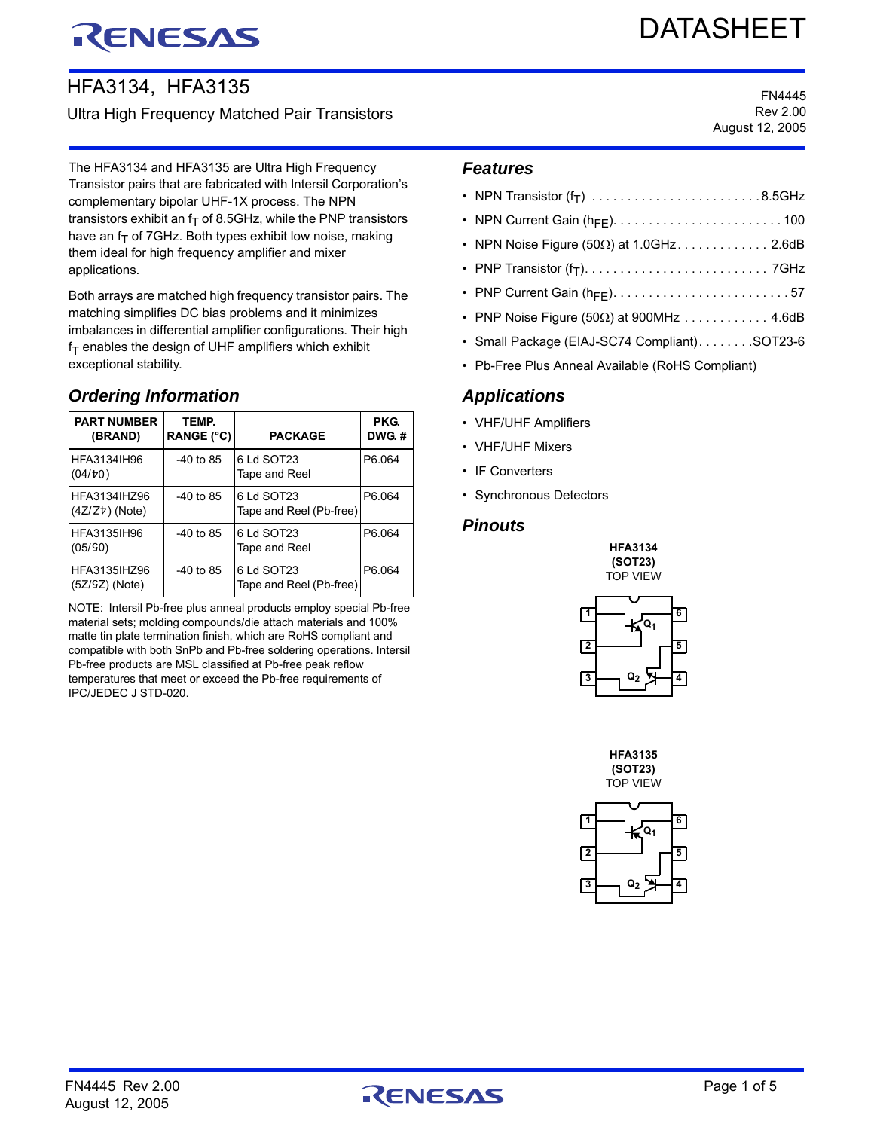# RENESAS

# DATASHEET

# HFA3134, HFA3135

# Ultra High Frequency Matched Pair Transistors

The HFA3134 and HFA3135 are Ultra High Frequency Transistor pairs that are fabricated with Intersil Corporation's complementary bipolar UHF-1X process. The NPN transistors exhibit an  $f<sub>T</sub>$  of 8.5GHz, while the PNP transistors have an  $f<sub>T</sub>$  of 7GHz. Both types exhibit low noise, making them ideal for high frequency amplifier and mixer applications.

Both arrays are matched high frequency transistor pairs. The matching simplifies DC bias problems and it minimizes imbalances in differential amplifier configurations. Their high  $f_T$  enables the design of UHF amplifiers which exhibit exceptional stability.

# *Ordering Information*

| <b>PART NUMBER</b><br>(BRAND)       | TEMP.<br><b>RANGE (°C)</b> | <b>PACKAGE</b>                        | <b>PKG.</b><br>DWG.# |
|-------------------------------------|----------------------------|---------------------------------------|----------------------|
| HFA3134IH96<br>(04/b0)              | -40 to 85                  | 6 Ld SOT23<br>Tape and Reel           | P6.064               |
| HFA3134IHZ96<br>$(4Z/Z\tau)$ (Note) | -40 to 85                  | 6 Ld SOT23<br>Tape and Reel (Pb-free) | P6.064               |
| HFA3135IH96<br>(05/90)              | -40 to 85                  | 6 Ld SOT23<br>Tape and Reel           | P6.064               |
| HFA3135IHZ96<br>$(5Z/SZ)$ (Note)    | -40 to 85                  | 6 Ld SOT23<br>Tape and Reel (Pb-free) | P6 064               |

NOTE: Intersil Pb-free plus anneal products employ special Pb-free material sets; molding compounds/die attach materials and 100% matte tin plate termination finish, which are RoHS compliant and compatible with both SnPb and Pb-free soldering operations. Intersil Pb-free products are MSL classified at Pb-free peak reflow temperatures that meet or exceed the Pb-free requirements of IPC/JEDEC J STD-020.

FN4445 Rev 2.00 August 12, 2005

#### *Features*

| • NPN Transistor $(f_T)$ 8.5GHz                    |
|----------------------------------------------------|
|                                                    |
| • NPN Noise Figure (50 $\Omega$ ) at 1.0GHz. 2.6dB |
|                                                    |
|                                                    |
| • PNP Noise Figure (50 $\Omega$ ) at 900MHz 4.6dB  |
| • Small Package (EIAJ-SC74 Compliant). SOT23-6     |
|                                                    |

• Pb-Free Plus Anneal Available (RoHS Compliant)

# *Applications*

- VHF/UHF Amplifiers
- VHF/UHF Mixers
- IF Converters
- Synchronous Detectors

#### *Pinouts*





**HFA3135 (SOT23)** TOP VIEW



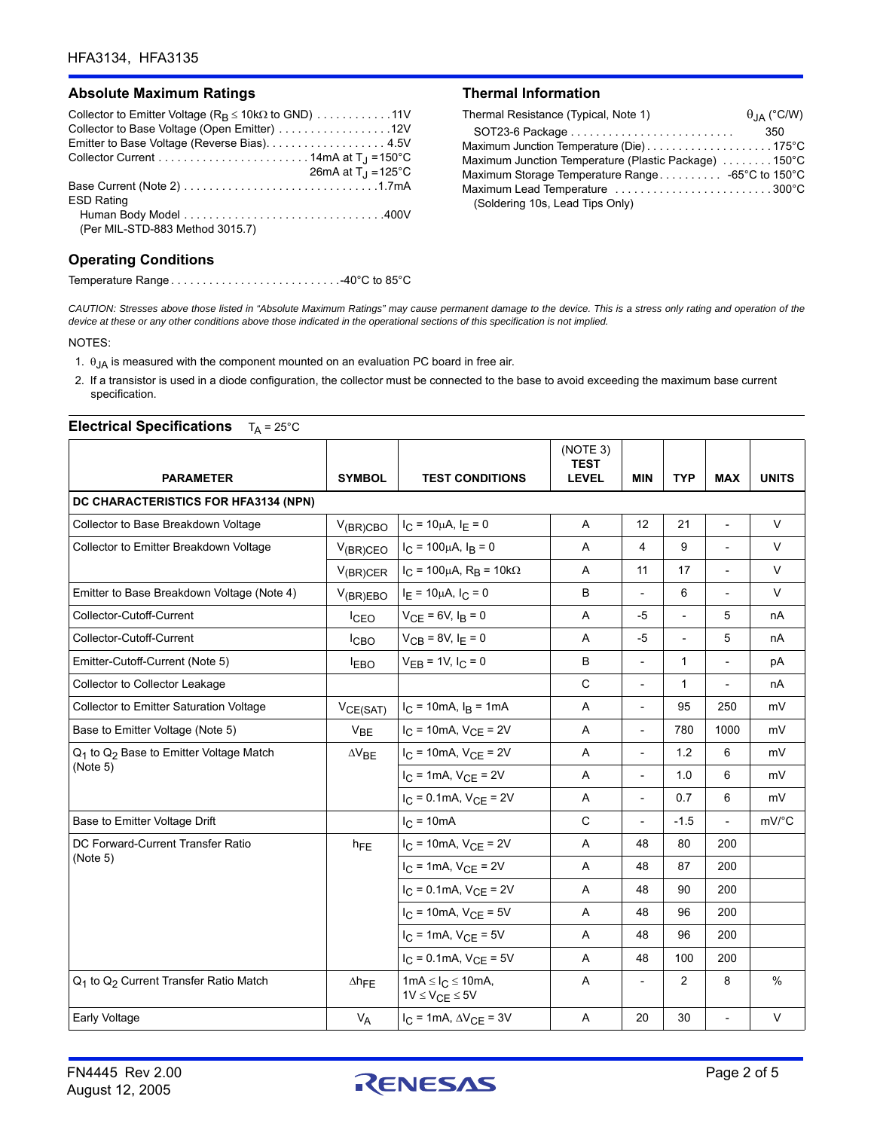#### Absolute Maximum Ratings **Thermal Information**

| Collector to Emitter Voltage ( $R_B \le 10k\Omega$ to GND) 11V |
|----------------------------------------------------------------|
|                                                                |
|                                                                |
|                                                                |
| 26mA at $T_{\rm J} = 125^{\circ}$ C                            |
|                                                                |
| <b>ESD Rating</b>                                              |
|                                                                |
| (Per MIL-STD-883 Method 3015.7)                                |

#### **Operating Conditions**

Temperature Range . . . . . . . . . . . . . . . . . . . . . . . . . . .-40°C to 85°C

| Thermal Resistance (Typical, Note 1)                 | $\theta_{IA}$ (°C/W) |
|------------------------------------------------------|----------------------|
|                                                      | 350                  |
|                                                      |                      |
| Maximum Junction Temperature (Plastic Package) 150°C |                      |
|                                                      |                      |
| Maximum Lead Temperature 300°C                       |                      |
| (Soldering 10s, Lead Tips Only)                      |                      |

*CAUTION: Stresses above those listed in "Absolute Maximum Ratings" may cause permanent damage to the device. This is a stress only rating and operation of the device at these or any other conditions above those indicated in the operational sections of this specification is not implied.*

NOTES:

- 1.  $\theta$ <sub>JA</sub> is measured with the component mounted on an evaluation PC board in free air.
- 2. If a transistor is used in a diode configuration, the collector must be connected to the base to avoid exceeding the maximum base current specification.

#### **Electrical Specifications**  $T_A = 25^\circ \text{C}$

| <b>PARAMETER</b>                                                           | <b>SYMBOL</b>    | <b>TEST CONDITIONS</b>                                 | (NOTE 3)<br><b>TEST</b><br><b>LEVEL</b> | <b>MIN</b>               | <b>TYP</b>     | <b>MAX</b>               | <b>UNITS</b>  |
|----------------------------------------------------------------------------|------------------|--------------------------------------------------------|-----------------------------------------|--------------------------|----------------|--------------------------|---------------|
| DC CHARACTERISTICS FOR HFA3134 (NPN)                                       |                  |                                                        |                                         |                          |                |                          |               |
| Collector to Base Breakdown Voltage                                        | $V_{(BR)CBO}$    | $I_C = 10 \mu A$ , $I_E = 0$                           | Α                                       | 12                       | 21             | $\overline{\phantom{a}}$ | V             |
| Collector to Emitter Breakdown Voltage                                     | $V_{(BR)CEO}$    | $I_C = 100 \mu A$ , $I_B = 0$                          | A                                       | 4                        | 9              | $\blacksquare$           | $\vee$        |
|                                                                            | $V_{(BR)CER}$    | $I_C$ = 100μA, R <sub>B</sub> = 10kΩ                   | $\overline{A}$                          | 11                       | 17             | $\overline{a}$           | $\vee$        |
| Emitter to Base Breakdown Voltage (Note 4)                                 | $V_{(BR)EBO}$    | $I_E = 10 \mu A$ , $I_C = 0$                           | B                                       | $\overline{\phantom{a}}$ | 6              | $\overline{\phantom{a}}$ | $\vee$        |
| Collector-Cutoff-Current                                                   | <sup>I</sup> CEO | $V_{CF} = 6V, I_B = 0$                                 | Α                                       | $-5$                     | $\overline{a}$ | 5                        | nA            |
| Collector-Cutoff-Current                                                   | <b>ICBO</b>      | $V_{CB} = 8V, IE = 0$                                  | A                                       | $-5$                     | $\overline{a}$ | 5                        | nA            |
| Emitter-Cutoff-Current (Note 5)                                            | <b>IEBO</b>      | $V_{EB} = 1V$ , $I_C = 0$                              | B                                       | $\overline{\phantom{0}}$ | $\mathbf{1}$   | $\overline{\phantom{a}}$ | pA            |
| Collector to Collector Leakage                                             |                  |                                                        | $\mathsf{C}$                            | $\overline{\phantom{a}}$ | 1              |                          | nA            |
| <b>Collector to Emitter Saturation Voltage</b>                             | VCE(SAT)         | $I_C = 10 \text{mA}, I_B = 1 \text{mA}$                | A                                       | $\overline{\phantom{a}}$ | 95             | 250                      | mV            |
| Base to Emitter Voltage (Note 5)                                           | V <sub>BE</sub>  | $I_C = 10mA$ , $V_{CE} = 2V$                           | Α                                       | $\overline{\phantom{a}}$ | 780            | 1000                     | mV            |
| Q <sub>1</sub> to Q <sub>2</sub> Base to Emitter Voltage Match<br>(Note 5) | $\Delta V_{BE}$  | $I_C = 10mA$ , $V_{CE} = 2V$                           | Α                                       | $\overline{\phantom{a}}$ | 1.2            | 6                        | mV            |
|                                                                            |                  | $I_C = 1mA$ , $V_{CE} = 2V$                            | A                                       | $\overline{\phantom{a}}$ | 1.0            | 6                        | mV            |
|                                                                            |                  | $I_C = 0.1 \text{mA}$ , $V_{CE} = 2V$                  | Α                                       | $\overline{a}$           | 0.7            | 6                        | mV            |
| Base to Emitter Voltage Drift                                              |                  | $I_{C} = 10mA$                                         | $\mathsf{C}$                            | $\overline{\phantom{a}}$ | $-1.5$         | $\overline{\phantom{a}}$ | mV/°C         |
| DC Forward-Current Transfer Ratio                                          | h <sub>FE</sub>  | $I_C = 10mA$ , $V_{CE} = 2V$                           | A                                       | 48                       | 80             | 200                      |               |
| (Note 5)                                                                   |                  | $I_C = 1mA$ , $V_{CE} = 2V$                            | A                                       | 48                       | 87             | 200                      |               |
|                                                                            |                  | $I_C = 0.1$ mA, $V_{CE} = 2V$                          | Α                                       | 48                       | 90             | 200                      |               |
|                                                                            |                  | $I_C = 10mA, V_{CE} = 5V$                              | Α                                       | 48                       | 96             | 200                      |               |
|                                                                            |                  | $I_C = 1 \text{mA}$ , $V_{CE} = 5V$                    | A                                       | 48                       | 96             | 200                      |               |
|                                                                            |                  | $I_C = 0.1$ mA, $V_{CE} = 5V$                          | Α                                       | 48                       | 100            | 200                      |               |
| Q <sub>1</sub> to Q <sub>2</sub> Current Transfer Ratio Match              | $\Delta h$ FE    | $1mA \leq I_C \leq 10mA$ ,<br>$1V \leq V_{CE} \leq 5V$ | Α                                       | $\overline{a}$           | 2              | 8                        | $\frac{0}{0}$ |
| Early Voltage                                                              | $V_A$            | $I_C = 1 \text{mA}, \Delta V_{CE} = 3V$                | Α                                       | 20                       | 30             | $\overline{\phantom{a}}$ | $\vee$        |

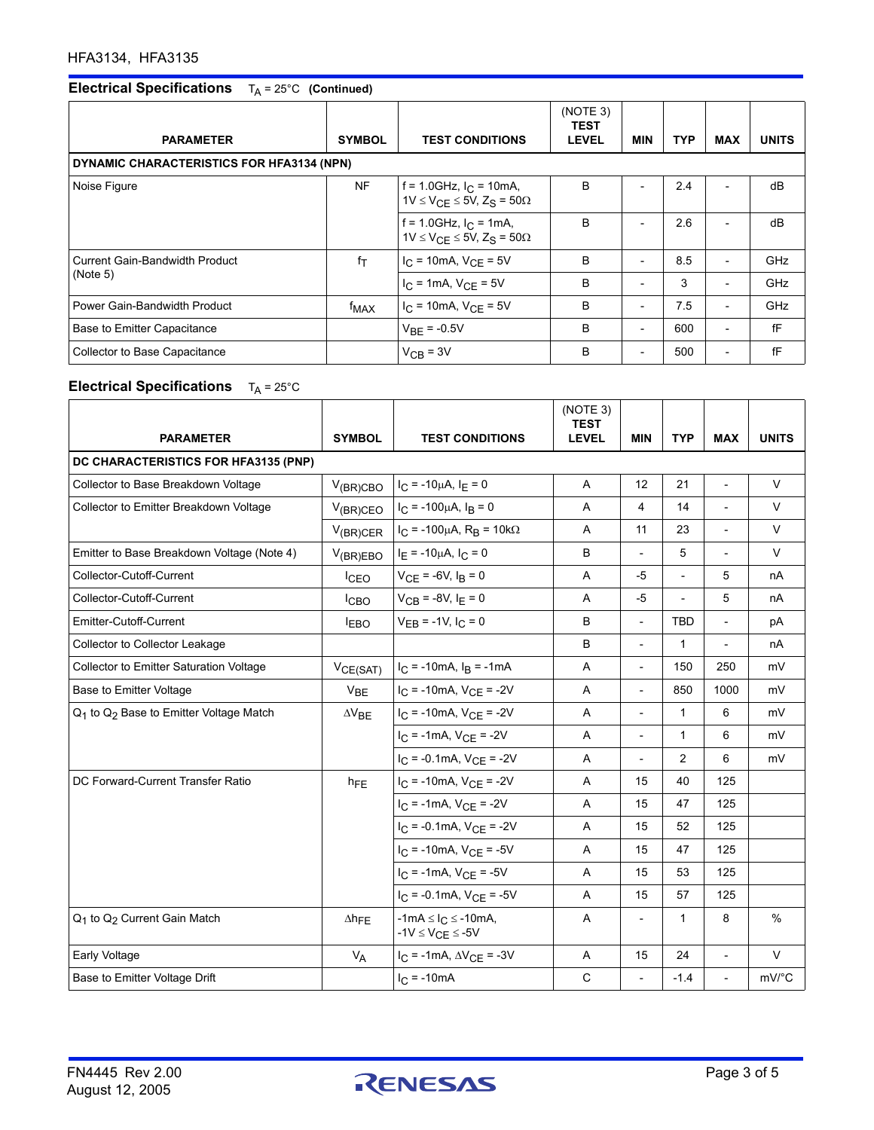# **Electrical Specifications**  $T_A = 25^\circ \text{C}$  (Continued)

|                                |                                           |                                                                                          | (NOTE 3)<br><b>TEST</b> |                          |            |                          |              |  |  |
|--------------------------------|-------------------------------------------|------------------------------------------------------------------------------------------|-------------------------|--------------------------|------------|--------------------------|--------------|--|--|
| <b>PARAMETER</b>               | <b>SYMBOL</b>                             | <b>TEST CONDITIONS</b>                                                                   | <b>LEVEL</b>            | <b>MIN</b>               | <b>TYP</b> | <b>MAX</b>               | <b>UNITS</b> |  |  |
|                                | DYNAMIC CHARACTERISTICS FOR HFA3134 (NPN) |                                                                                          |                         |                          |            |                          |              |  |  |
| Noise Figure                   | <b>NF</b>                                 | f = 1.0GHz, $I_C$ = 10mA,<br>$1V \leq V_{\text{CF}} \leq 5V$ , $Z_{\text{S}} = 50\Omega$ | B                       |                          | 2.4        |                          | dB           |  |  |
|                                |                                           | f = 1.0GHz, $I_C$ = 1mA,<br>$1V \le V_{\text{CF}} \le 5V$ , $Z_{\text{S}} = 50\Omega$    | B                       | $\overline{\phantom{0}}$ | 2.6        | $\overline{\phantom{0}}$ | dB           |  |  |
| Current Gain-Bandwidth Product | $f_T$                                     | $I_{C}$ = 10mA, $V_{CF}$ = 5V                                                            | B                       | $\overline{\phantom{a}}$ | 8.5        | $\overline{\phantom{a}}$ | GHz          |  |  |
| (Note 5)                       |                                           | $I_C = 1 \text{mA}$ , $V_{CE} = 5V$                                                      | B                       | $\overline{\phantom{a}}$ | 3          | $\overline{\phantom{a}}$ | GHz          |  |  |
| Power Gain-Bandwidth Product   | f <sub>MAX</sub>                          | $I_C = 10mA$ , $V_{CE} = 5V$                                                             | B                       | $\overline{\phantom{0}}$ | 7.5        | $\overline{\phantom{a}}$ | GHz          |  |  |
| Base to Emitter Capacitance    |                                           | $V_{BF} = -0.5V$                                                                         | B                       | $\overline{a}$           | 600        | $\overline{\phantom{a}}$ | fF           |  |  |
| Collector to Base Capacitance  |                                           | $V_{CR}$ = 3V                                                                            | B                       | $\overline{\phantom{a}}$ | 500        | $\overline{\phantom{0}}$ | fF           |  |  |

# **Electrical Specifications** T<sub>A</sub> = 25°C

| <b>PARAMETER</b>                                               | <b>SYMBOL</b>        | <b>TEST CONDITIONS</b>                                     | (NOTE 3)<br><b>TEST</b><br><b>LEVEL</b> | <b>MIN</b>               | <b>TYP</b>     | <b>MAX</b>               | <b>UNITS</b>        |  |
|----------------------------------------------------------------|----------------------|------------------------------------------------------------|-----------------------------------------|--------------------------|----------------|--------------------------|---------------------|--|
| DC CHARACTERISTICS FOR HFA3135 (PNP)                           |                      |                                                            |                                         |                          |                |                          |                     |  |
| Collector to Base Breakdown Voltage                            | $V_{(BR)CBO}$        | $I_C = -10\mu A$ , $I_E = 0$                               | A                                       | 12                       | 21             | $\overline{a}$           | $\vee$              |  |
| Collector to Emitter Breakdown Voltage                         | $V_{(BR)CEO}$        | $I_C = -100\mu A$ , $I_B = 0$                              | A                                       | $\overline{4}$           | 14             | $\overline{a}$           | $\vee$              |  |
|                                                                | $V_{(BR)CER}$        | $I_C = -100 \mu A$ , $R_B = 10 k \Omega$                   | A                                       | 11                       | 23             | $\overline{\phantom{0}}$ | $\vee$              |  |
| Emitter to Base Breakdown Voltage (Note 4)                     | $V_{(BR)EBO}$        | $I_E = -10\mu A$ , $I_C = 0$                               | B                                       | $\overline{a}$           | 5              | $\overline{\phantom{a}}$ | $\vee$              |  |
| Collector-Cutoff-Current                                       | <b>ICEO</b>          | $V_{CE}$ = -6V, $I_B$ = 0                                  | Α                                       | $-5$                     | $\blacksquare$ | 5                        | nA                  |  |
| Collector-Cutoff-Current                                       | I <sub>CBO</sub>     | $V_{CB} = -8V, I_F = 0$                                    | Α                                       | $-5$                     | $\frac{1}{2}$  | 5                        | nA                  |  |
| Emitter-Cutoff-Current                                         | <b>LEBO</b>          | $V_{EB}$ = -1V, $I_C$ = 0                                  | B                                       | $\overline{\phantom{0}}$ | <b>TBD</b>     | $\overline{a}$           | pA                  |  |
| Collector to Collector Leakage                                 |                      |                                                            | B                                       | $\overline{a}$           | 1              |                          | nA                  |  |
| <b>Collector to Emitter Saturation Voltage</b>                 | $V_{CE(SAT)}$        | $I_C = -10mA$ , $I_B = -1mA$                               | A                                       | $\overline{\phantom{0}}$ | 150            | 250                      | mV                  |  |
| <b>Base to Emitter Voltage</b>                                 | V <sub>BE</sub>      | $I_C = -10mA$ , $V_{CE} = -2V$                             | Α                                       | $\overline{a}$           | 850            | 1000                     | mV                  |  |
| Q <sub>1</sub> to Q <sub>2</sub> Base to Emitter Voltage Match | $\Delta V_{BE}$      | $I_C = -10mA$ , $V_{CE} = -2V$                             | A                                       |                          | $\mathbf{1}$   | 6                        | mV                  |  |
|                                                                |                      | $I_C = -1mA$ , $V_{CE} = -2V$                              | A                                       | $\overline{a}$           | $\mathbf{1}$   | 6                        | mV                  |  |
|                                                                |                      | $I_C = -0.1$ mA, $V_{CE} = -2V$                            | A                                       | $\overline{a}$           | $\overline{2}$ | 6                        | mV                  |  |
| DC Forward-Current Transfer Ratio                              | $h_{FE}$             | $I_C = -10mA$ , $V_{CE} = -2V$                             | Α                                       | 15                       | 40             | 125                      |                     |  |
|                                                                |                      | $I_C = -1mA$ , $V_{CE} = -2V$                              | Α                                       | 15                       | 47             | 125                      |                     |  |
|                                                                |                      | $I_C = -0.1mA$ , $V_{CE} = -2V$                            | Α                                       | 15                       | 52             | 125                      |                     |  |
|                                                                |                      | $I_C = -10mA$ , $V_{CE} = -5V$                             | Α                                       | 15                       | 47             | 125                      |                     |  |
|                                                                |                      | $I_C = -1mA$ , $V_{CE} = -5V$                              | A                                       | 15                       | 53             | 125                      |                     |  |
|                                                                |                      | $I_C = -0.1$ mA, $V_{CE} = -5V$                            | A                                       | 15                       | 57             | 125                      |                     |  |
| Q <sub>1</sub> to Q <sub>2</sub> Current Gain Match            | $\Delta h$ FE        | $-1mA \leq l_C \leq -10mA$ ,<br>$-1V \leq V_{CE} \leq -5V$ | Α                                       |                          | 1              | 8                        | $\%$                |  |
| Early Voltage                                                  | <b>V<sub>A</sub></b> | $I_C = -1mA$ , $\Delta V_{CE} = -3V$                       | A                                       | 15                       | 24             | $\overline{\phantom{0}}$ | $\vee$              |  |
| Base to Emitter Voltage Drift                                  |                      | $I_{C} = -10mA$                                            | $\mathsf C$                             | $\overline{\phantom{0}}$ | $-1.4$         | $\overline{a}$           | $mV$ <sup>°</sup> C |  |

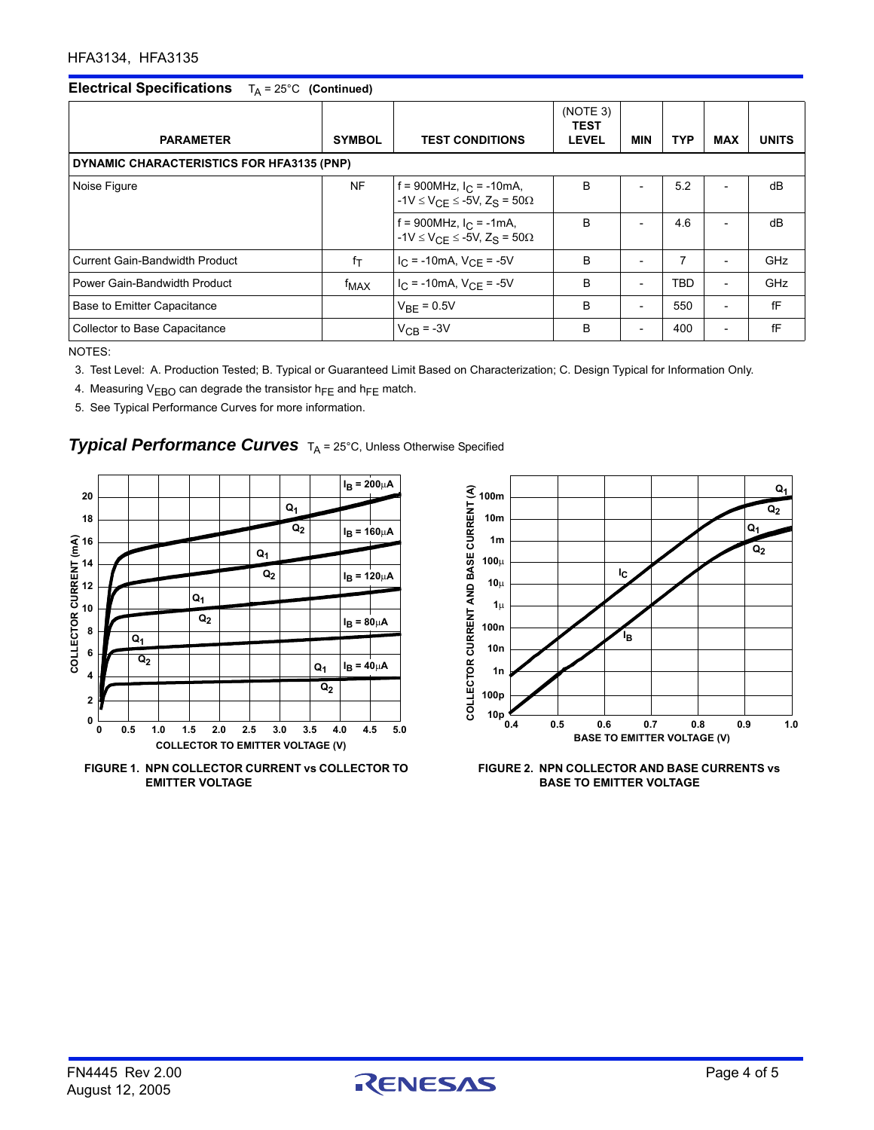# **Electrical Specifications** T<sub>A</sub> = 25°C (Continued)

| <b>PARAMETER</b>                          | <b>SYMBOL</b>    | <b>TEST CONDITIONS</b>                                                               | (NOTE 3)<br><b>TEST</b><br><b>LEVEL</b> | <b>MIN</b>               | <b>TYP</b> | <b>MAX</b>               | <b>UNITS</b> |  |
|-------------------------------------------|------------------|--------------------------------------------------------------------------------------|-----------------------------------------|--------------------------|------------|--------------------------|--------------|--|
| DYNAMIC CHARACTERISTICS FOR HFA3135 (PNP) |                  |                                                                                      |                                         |                          |            |                          |              |  |
| Noise Figure                              | <b>NF</b>        | f = 900MHz, $I_C$ = -10mA,<br>$-1V \le V_{\text{CF}} \le -5V$ , Z <sub>S</sub> = 50Ω | B                                       |                          | 5.2        | $\overline{a}$           | dB           |  |
|                                           |                  | f = 900MHz, $I_C$ = -1mA,<br>$-1V \leq V_{CE} \leq -5V$ , $Z_S = 50\Omega$           | B                                       | $\overline{\phantom{0}}$ | 4.6        | $\overline{\phantom{0}}$ | dB           |  |
| Current Gain-Bandwidth Product            | $f_T$            | $I_C = -10mA$ , $V_{CE} = -5V$                                                       | B                                       | $\overline{\phantom{a}}$ | 7          | $\overline{\phantom{a}}$ | GHz          |  |
| Power Gain-Bandwidth Product              | f <sub>MAX</sub> | $I_{C}$ = -10mA, $V_{CF}$ = -5V                                                      | B                                       | $\overline{\phantom{a}}$ | TBD        | $\overline{\phantom{a}}$ | GHz          |  |
| Base to Emitter Capacitance               |                  | $V_{\text{RF}}$ = 0.5V                                                               | B                                       | $\overline{\phantom{a}}$ | 550        | $\overline{\phantom{a}}$ | fF           |  |
| Collector to Base Capacitance             |                  | $V_{CB}$ = -3V                                                                       | B                                       | $\overline{\phantom{a}}$ | 400        | $\overline{\phantom{a}}$ | fF           |  |

NOTES:

3. Test Level: A. Production Tested; B. Typical or Guaranteed Limit Based on Characterization; C. Design Typical for Information Only.

4. Measuring  $V_{EBO}$  can degrade the transistor h<sub>FE</sub> and h<sub>FE</sub> match.

5. See Typical Performance Curves for more information.

### **Typical Performance Curves** TA = 25°C, Unless Otherwise Specified







**FIGURE 2. NPN COLLECTOR AND BASE CURRENTS vs BASE TO EMITTER VOLTAGE**